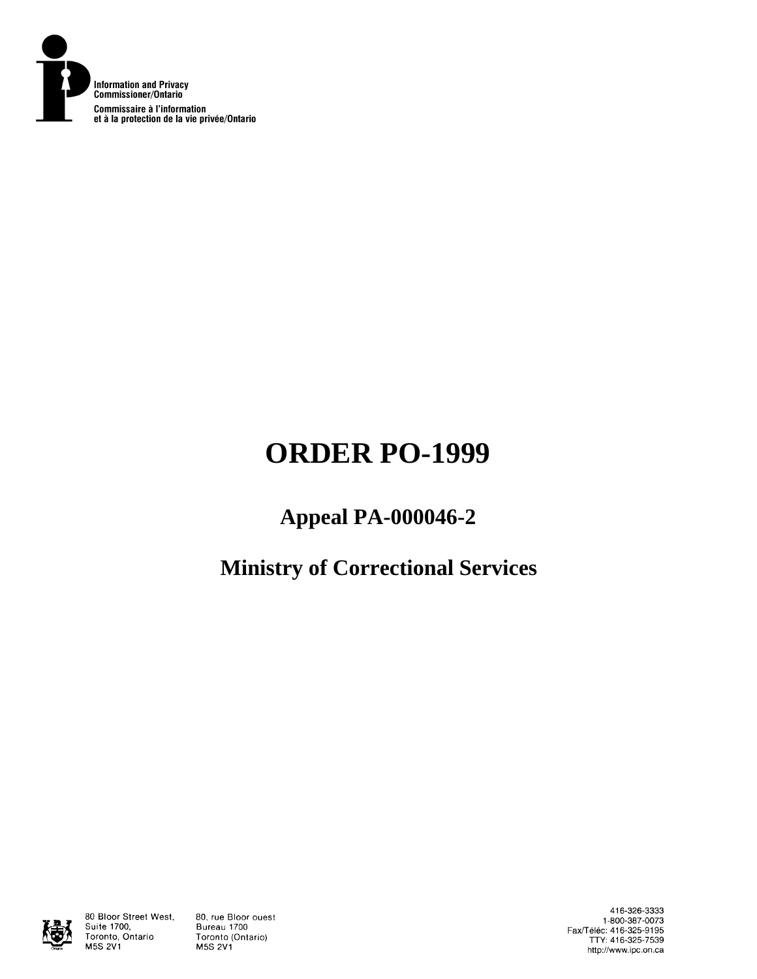

# **ORDER PO-1999**

## **Appeal PA-000046-2**

## **Ministry of Correctional Services**



80 Bloor Street West, Suite 1700, Toronto, Ontario **M5S 2V1** 

80, rue Bloor ouest Bureau 1700 Toronto (Ontario) **M5S 2V1** 

416-326-3333 1-800-387-0073 Fax/Téléc: 416-325-9195<br>TTY: 416-325-7539 http://www.ipc.on.ca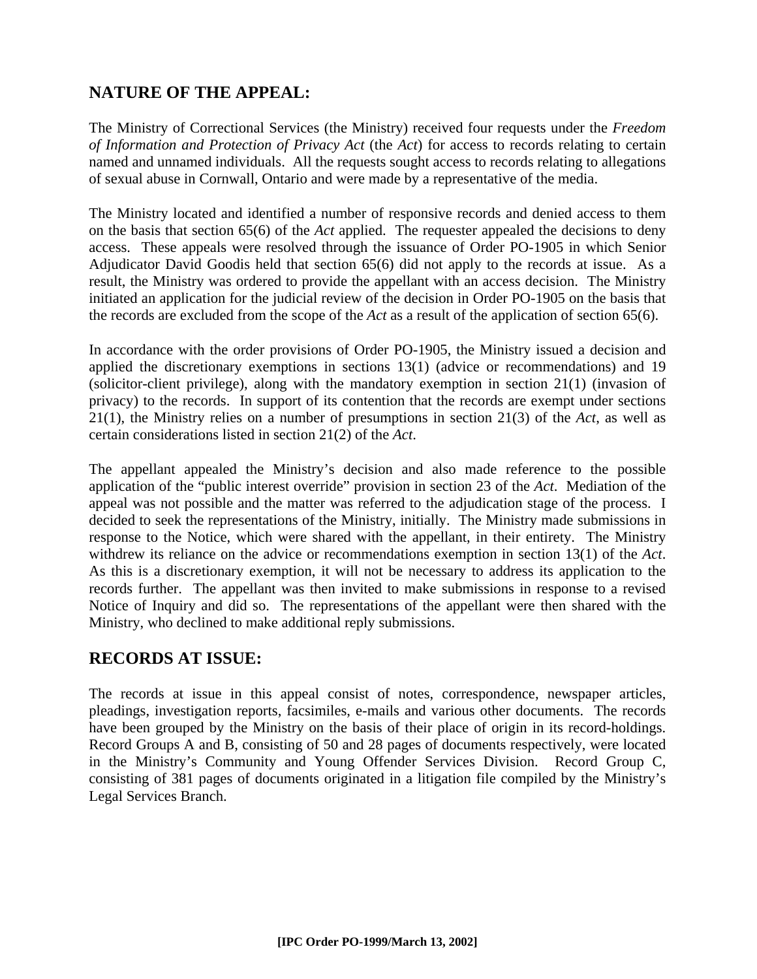## **NATURE OF THE APPEAL:**

The Ministry of Correctional Services (the Ministry) received four requests under the *Freedom of Information and Protection of Privacy Act* (the *Act*) for access to records relating to certain named and unnamed individuals. All the requests sought access to records relating to allegations of sexual abuse in Cornwall, Ontario and were made by a representative of the media.

The Ministry located and identified a number of responsive records and denied access to them on the basis that section 65(6) of the *Act* applied. The requester appealed the decisions to deny access. These appeals were resolved through the issuance of Order PO-1905 in which Senior Adjudicator David Goodis held that section 65(6) did not apply to the records at issue. As a result, the Ministry was ordered to provide the appellant with an access decision. The Ministry initiated an application for the judicial review of the decision in Order PO-1905 on the basis that the records are excluded from the scope of the *Act* as a result of the application of section 65(6).

In accordance with the order provisions of Order PO-1905, the Ministry issued a decision and applied the discretionary exemptions in sections 13(1) (advice or recommendations) and 19 (solicitor-client privilege), along with the mandatory exemption in section 21(1) (invasion of privacy) to the records. In support of its contention that the records are exempt under sections 21(1), the Ministry relies on a number of presumptions in section 21(3) of the *Act*, as well as certain considerations listed in section 21(2) of the *Act*.

The appellant appealed the Ministry's decision and also made reference to the possible application of the "public interest override" provision in section 23 of the *Act*. Mediation of the appeal was not possible and the matter was referred to the adjudication stage of the process. I decided to seek the representations of the Ministry, initially. The Ministry made submissions in response to the Notice, which were shared with the appellant, in their entirety. The Ministry withdrew its reliance on the advice or recommendations exemption in section 13(1) of the *Act*. As this is a discretionary exemption, it will not be necessary to address its application to the records further. The appellant was then invited to make submissions in response to a revised Notice of Inquiry and did so. The representations of the appellant were then shared with the Ministry, who declined to make additional reply submissions.

## **RECORDS AT ISSUE:**

The records at issue in this appeal consist of notes, correspondence, newspaper articles, pleadings, investigation reports, facsimiles, e-mails and various other documents. The records have been grouped by the Ministry on the basis of their place of origin in its record-holdings. Record Groups A and B, consisting of 50 and 28 pages of documents respectively, were located in the Ministry's Community and Young Offender Services Division. Record Group C, consisting of 381 pages of documents originated in a litigation file compiled by the Ministry's Legal Services Branch.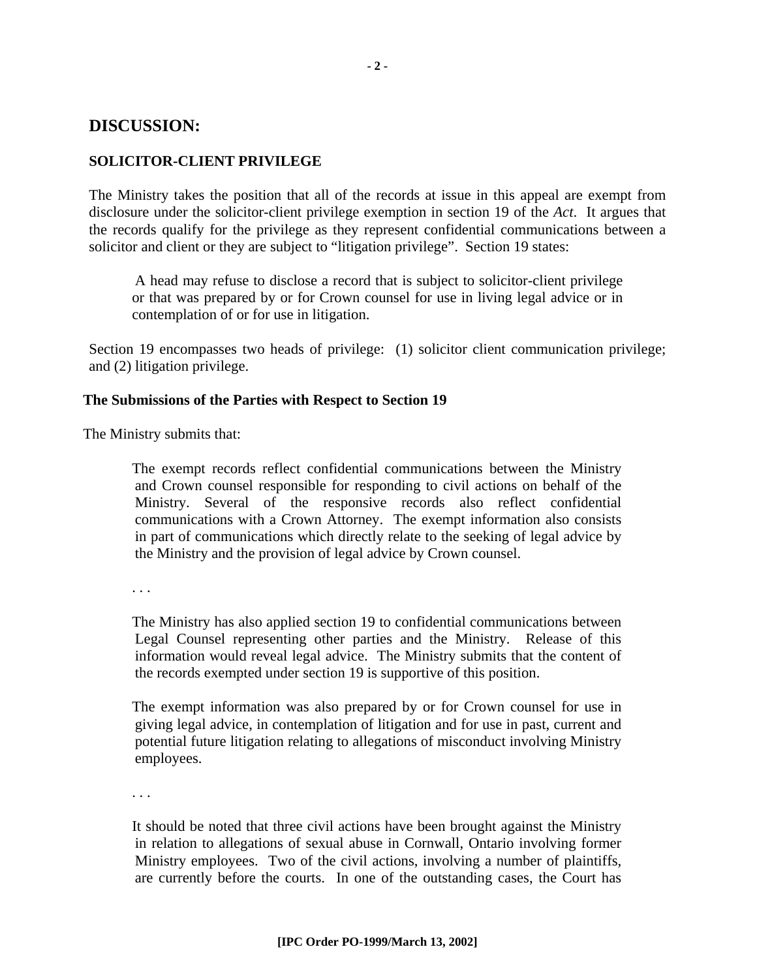### **DISCUSSION:**

#### **SOLICITOR-CLIENT PRIVILEGE**

The Ministry takes the position that all of the records at issue in this appeal are exempt from disclosure under the solicitor-client privilege exemption in section 19 of the *Act*. It argues that the records qualify for the privilege as they represent confidential communications between a solicitor and client or they are subject to "litigation privilege". Section 19 states:

A head may refuse to disclose a record that is subject to solicitor-client privilege or that was prepared by or for Crown counsel for use in living legal advice or in contemplation of or for use in litigation.

Section 19 encompasses two heads of privilege: (1) solicitor client communication privilege; and (2) litigation privilege.

#### **The Submissions of the Parties with Respect to Section 19**

The Ministry submits that:

The exempt records reflect confidential communications between the Ministry and Crown counsel responsible for responding to civil actions on behalf of the Ministry. Several of the responsive records also reflect confidential communications with a Crown Attorney. The exempt information also consists in part of communications which directly relate to the seeking of legal advice by the Ministry and the provision of legal advice by Crown counsel.

. . .

The Ministry has also applied section 19 to confidential communications between Legal Counsel representing other parties and the Ministry. Release of this information would reveal legal advice. The Ministry submits that the content of the records exempted under section 19 is supportive of this position.

The exempt information was also prepared by or for Crown counsel for use in giving legal advice, in contemplation of litigation and for use in past, current and potential future litigation relating to allegations of misconduct involving Ministry employees.

. . .

It should be noted that three civil actions have been brought against the Ministry in relation to allegations of sexual abuse in Cornwall, Ontario involving former Ministry employees. Two of the civil actions, involving a number of plaintiffs, are currently before the courts. In one of the outstanding cases, the Court has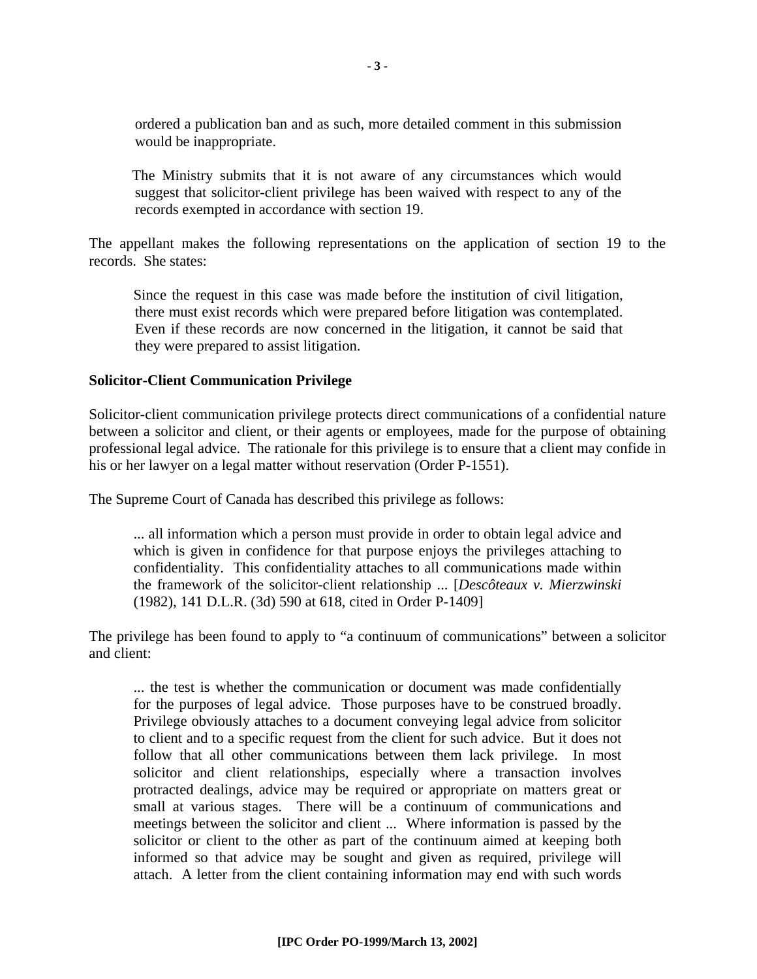ordered a publication ban and as such, more detailed comment in this submission would be inappropriate.

The Ministry submits that it is not aware of any circumstances which would suggest that solicitor-client privilege has been waived with respect to any of the records exempted in accordance with section 19.

The appellant makes the following representations on the application of section 19 to the records. She states:

Since the request in this case was made before the institution of civil litigation, there must exist records which were prepared before litigation was contemplated. Even if these records are now concerned in the litigation, it cannot be said that they were prepared to assist litigation.

#### **Solicitor-Client Communication Privilege**

Solicitor-client communication privilege protects direct communications of a confidential nature between a solicitor and client, or their agents or employees, made for the purpose of obtaining professional legal advice. The rationale for this privilege is to ensure that a client may confide in his or her lawyer on a legal matter without reservation (Order P-1551).

The Supreme Court of Canada has described this privilege as follows:

... all information which a person must provide in order to obtain legal advice and which is given in confidence for that purpose enjoys the privileges attaching to confidentiality. This confidentiality attaches to all communications made within the framework of the solicitor-client relationship ... [*Descôteaux v. Mierzwinski* (1982), 141 D.L.R. (3d) 590 at 618, cited in Order P-1409]

The privilege has been found to apply to "a continuum of communications" between a solicitor and client:

... the test is whether the communication or document was made confidentially for the purposes of legal advice. Those purposes have to be construed broadly. Privilege obviously attaches to a document conveying legal advice from solicitor to client and to a specific request from the client for such advice. But it does not follow that all other communications between them lack privilege. In most solicitor and client relationships, especially where a transaction involves protracted dealings, advice may be required or appropriate on matters great or small at various stages. There will be a continuum of communications and meetings between the solicitor and client ... Where information is passed by the solicitor or client to the other as part of the continuum aimed at keeping both informed so that advice may be sought and given as required, privilege will attach. A letter from the client containing information may end with such words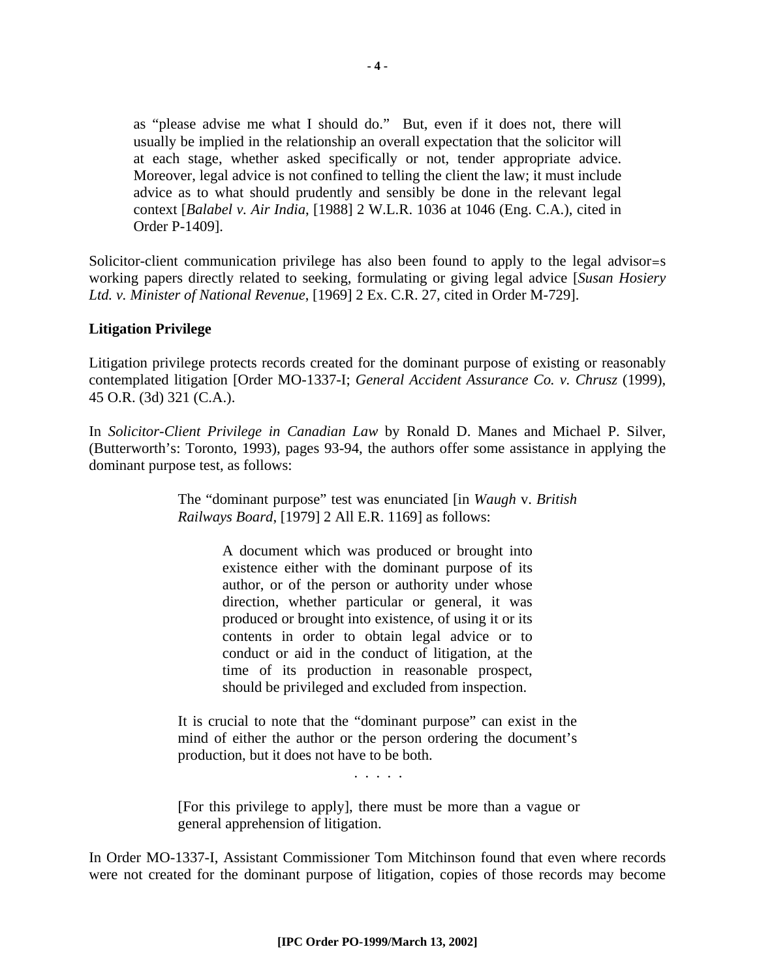as "please advise me what I should do." But, even if it does not, there will usually be implied in the relationship an overall expectation that the solicitor will at each stage, whether asked specifically or not, tender appropriate advice. Moreover, legal advice is not confined to telling the client the law; it must include advice as to what should prudently and sensibly be done in the relevant legal context [*Balabel v. Air India*, [1988] 2 W.L.R. 1036 at 1046 (Eng. C.A.), cited in Order P-1409].

Solicitor-client communication privilege has also been found to apply to the legal advisor=s working papers directly related to seeking, formulating or giving legal advice [*Susan Hosiery Ltd. v. Minister of National Revenue*, [1969] 2 Ex. C.R. 27, cited in Order M-729].

#### **Litigation Privilege**

Litigation privilege protects records created for the dominant purpose of existing or reasonably contemplated litigation [Order MO-1337-I; *General Accident Assurance Co. v. Chrusz* (1999), 45 O.R. (3d) 321 (C.A.).

In *Solicitor-Client Privilege in Canadian Law* by Ronald D. Manes and Michael P. Silver, (Butterworth's: Toronto, 1993), pages 93-94, the authors offer some assistance in applying the dominant purpose test, as follows:

> The "dominant purpose" test was enunciated [in *Waugh* v. *British Railways Board*, [1979] 2 All E.R. 1169] as follows:

> > A document which was produced or brought into existence either with the dominant purpose of its author, or of the person or authority under whose direction, whether particular or general, it was produced or brought into existence, of using it or its contents in order to obtain legal advice or to conduct or aid in the conduct of litigation, at the time of its production in reasonable prospect, should be privileged and excluded from inspection.

It is crucial to note that the "dominant purpose" can exist in the mind of either the author or the person ordering the document's production, but it does not have to be both.

. . . . .

[For this privilege to apply], there must be more than a vague or general apprehension of litigation.

In Order MO-1337-I, Assistant Commissioner Tom Mitchinson found that even where records were not created for the dominant purpose of litigation, copies of those records may become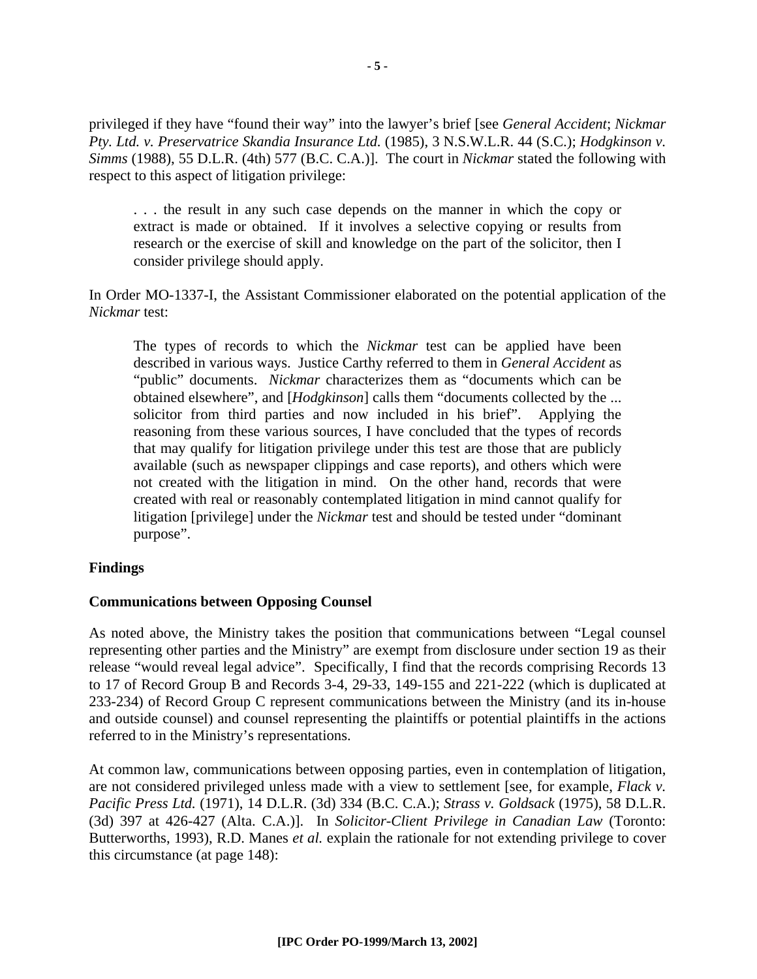privileged if they have "found their way" into the lawyer's brief [see *General Accident*; *Nickmar Pty. Ltd. v. Preservatrice Skandia Insurance Ltd.* (1985), 3 N.S.W.L.R. 44 (S.C.); *Hodgkinson v. Simms* (1988), 55 D.L.R. (4th) 577 (B.C. C.A.)]. The court in *Nickmar* stated the following with respect to this aspect of litigation privilege:

. . . the result in any such case depends on the manner in which the copy or extract is made or obtained. If it involves a selective copying or results from research or the exercise of skill and knowledge on the part of the solicitor, then I consider privilege should apply.

In Order MO-1337-I, the Assistant Commissioner elaborated on the potential application of the *Nickmar* test:

The types of records to which the *Nickmar* test can be applied have been described in various ways. Justice Carthy referred to them in *General Accident* as "public" documents. *Nickmar* characterizes them as "documents which can be obtained elsewhere", and [*Hodgkinson*] calls them "documents collected by the ... solicitor from third parties and now included in his brief". Applying the reasoning from these various sources, I have concluded that the types of records that may qualify for litigation privilege under this test are those that are publicly available (such as newspaper clippings and case reports), and others which were not created with the litigation in mind. On the other hand, records that were created with real or reasonably contemplated litigation in mind cannot qualify for litigation [privilege] under the *Nickmar* test and should be tested under "dominant purpose".

#### **Findings**

#### **Communications between Opposing Counsel**

As noted above, the Ministry takes the position that communications between "Legal counsel representing other parties and the Ministry" are exempt from disclosure under section 19 as their release "would reveal legal advice". Specifically, I find that the records comprising Records 13 to 17 of Record Group B and Records 3-4, 29-33, 149-155 and 221-222 (which is duplicated at 233-234) of Record Group C represent communications between the Ministry (and its in-house and outside counsel) and counsel representing the plaintiffs or potential plaintiffs in the actions referred to in the Ministry's representations.

At common law, communications between opposing parties, even in contemplation of litigation, are not considered privileged unless made with a view to settlement [see, for example, *Flack v. Pacific Press Ltd.* (1971), 14 D.L.R. (3d) 334 (B.C. C.A.); *Strass v. Goldsack* (1975), 58 D.L.R. (3d) 397 at 426-427 (Alta. C.A.)]. In *Solicitor-Client Privilege in Canadian Law* (Toronto: Butterworths, 1993), R.D. Manes *et al.* explain the rationale for not extending privilege to cover this circumstance (at page 148):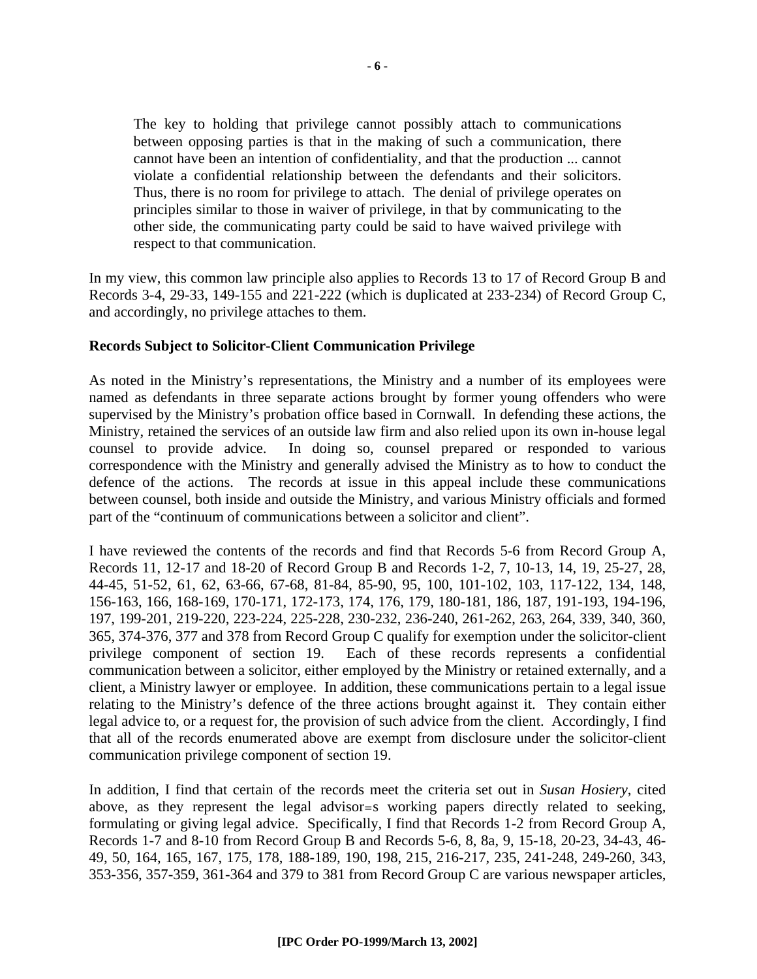The key to holding that privilege cannot possibly attach to communications between opposing parties is that in the making of such a communication, there cannot have been an intention of confidentiality, and that the production ... cannot violate a confidential relationship between the defendants and their solicitors. Thus, there is no room for privilege to attach. The denial of privilege operates on principles similar to those in waiver of privilege, in that by communicating to the other side, the communicating party could be said to have waived privilege with respect to that communication.

In my view, this common law principle also applies to Records 13 to 17 of Record Group B and Records 3-4, 29-33, 149-155 and 221-222 (which is duplicated at 233-234) of Record Group C, and accordingly, no privilege attaches to them.

#### **Records Subject to Solicitor-Client Communication Privilege**

As noted in the Ministry's representations, the Ministry and a number of its employees were named as defendants in three separate actions brought by former young offenders who were supervised by the Ministry's probation office based in Cornwall. In defending these actions, the Ministry, retained the services of an outside law firm and also relied upon its own in-house legal counsel to provide advice. In doing so, counsel prepared or responded to various correspondence with the Ministry and generally advised the Ministry as to how to conduct the defence of the actions. The records at issue in this appeal include these communications between counsel, both inside and outside the Ministry, and various Ministry officials and formed part of the "continuum of communications between a solicitor and client".

I have reviewed the contents of the records and find that Records 5-6 from Record Group A, Records 11, 12-17 and 18-20 of Record Group B and Records 1-2, 7, 10-13, 14, 19, 25-27, 28, 44-45, 51-52, 61, 62, 63-66, 67-68, 81-84, 85-90, 95, 100, 101-102, 103, 117-122, 134, 148, 156-163, 166, 168-169, 170-171, 172-173, 174, 176, 179, 180-181, 186, 187, 191-193, 194-196, 197, 199-201, 219-220, 223-224, 225-228, 230-232, 236-240, 261-262, 263, 264, 339, 340, 360, 365, 374-376, 377 and 378 from Record Group C qualify for exemption under the solicitor-client privilege component of section 19. Each of these records represents a confidential communication between a solicitor, either employed by the Ministry or retained externally, and a client, a Ministry lawyer or employee. In addition, these communications pertain to a legal issue relating to the Ministry's defence of the three actions brought against it. They contain either legal advice to, or a request for, the provision of such advice from the client. Accordingly, I find that all of the records enumerated above are exempt from disclosure under the solicitor-client communication privilege component of section 19.

In addition, I find that certain of the records meet the criteria set out in *Susan Hosiery*, cited above, as they represent the legal advisor=s working papers directly related to seeking, formulating or giving legal advice. Specifically, I find that Records 1-2 from Record Group A, Records 1-7 and 8-10 from Record Group B and Records 5-6, 8, 8a, 9, 15-18, 20-23, 34-43, 46- 49, 50, 164, 165, 167, 175, 178, 188-189, 190, 198, 215, 216-217, 235, 241-248, 249-260, 343, 353-356, 357-359, 361-364 and 379 to 381 from Record Group C are various newspaper articles,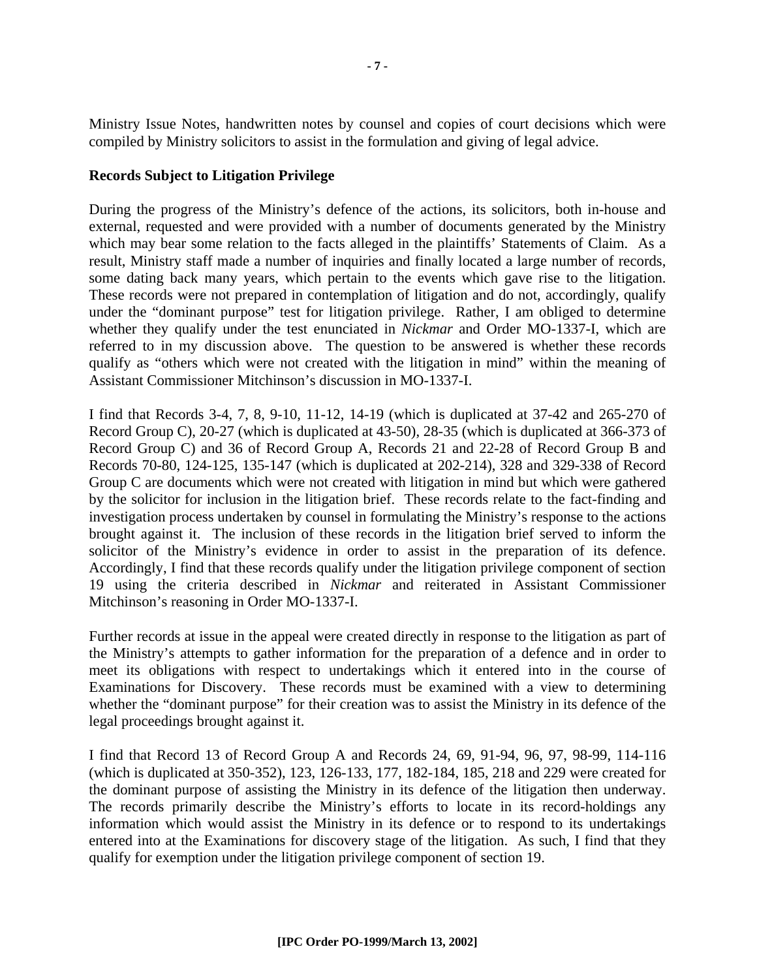Ministry Issue Notes, handwritten notes by counsel and copies of court decisions which were compiled by Ministry solicitors to assist in the formulation and giving of legal advice.

#### **Records Subject to Litigation Privilege**

During the progress of the Ministry's defence of the actions, its solicitors, both in-house and external, requested and were provided with a number of documents generated by the Ministry which may bear some relation to the facts alleged in the plaintiffs' Statements of Claim. As a result, Ministry staff made a number of inquiries and finally located a large number of records, some dating back many years, which pertain to the events which gave rise to the litigation. These records were not prepared in contemplation of litigation and do not, accordingly, qualify under the "dominant purpose" test for litigation privilege. Rather, I am obliged to determine whether they qualify under the test enunciated in *Nickmar* and Order MO-1337-I, which are referred to in my discussion above. The question to be answered is whether these records qualify as "others which were not created with the litigation in mind" within the meaning of Assistant Commissioner Mitchinson's discussion in MO-1337-I.

I find that Records 3-4, 7, 8, 9-10, 11-12, 14-19 (which is duplicated at 37-42 and 265-270 of Record Group C), 20-27 (which is duplicated at 43-50), 28-35 (which is duplicated at 366-373 of Record Group C) and 36 of Record Group A, Records 21 and 22-28 of Record Group B and Records 70-80, 124-125, 135-147 (which is duplicated at 202-214), 328 and 329-338 of Record Group C are documents which were not created with litigation in mind but which were gathered by the solicitor for inclusion in the litigation brief. These records relate to the fact-finding and investigation process undertaken by counsel in formulating the Ministry's response to the actions brought against it. The inclusion of these records in the litigation brief served to inform the solicitor of the Ministry's evidence in order to assist in the preparation of its defence. Accordingly, I find that these records qualify under the litigation privilege component of section 19 using the criteria described in *Nickmar* and reiterated in Assistant Commissioner Mitchinson's reasoning in Order MO-1337-I.

Further records at issue in the appeal were created directly in response to the litigation as part of the Ministry's attempts to gather information for the preparation of a defence and in order to meet its obligations with respect to undertakings which it entered into in the course of Examinations for Discovery. These records must be examined with a view to determining whether the "dominant purpose" for their creation was to assist the Ministry in its defence of the legal proceedings brought against it.

I find that Record 13 of Record Group A and Records 24, 69, 91-94, 96, 97, 98-99, 114-116 (which is duplicated at 350-352), 123, 126-133, 177, 182-184, 185, 218 and 229 were created for the dominant purpose of assisting the Ministry in its defence of the litigation then underway. The records primarily describe the Ministry's efforts to locate in its record-holdings any information which would assist the Ministry in its defence or to respond to its undertakings entered into at the Examinations for discovery stage of the litigation. As such, I find that they qualify for exemption under the litigation privilege component of section 19.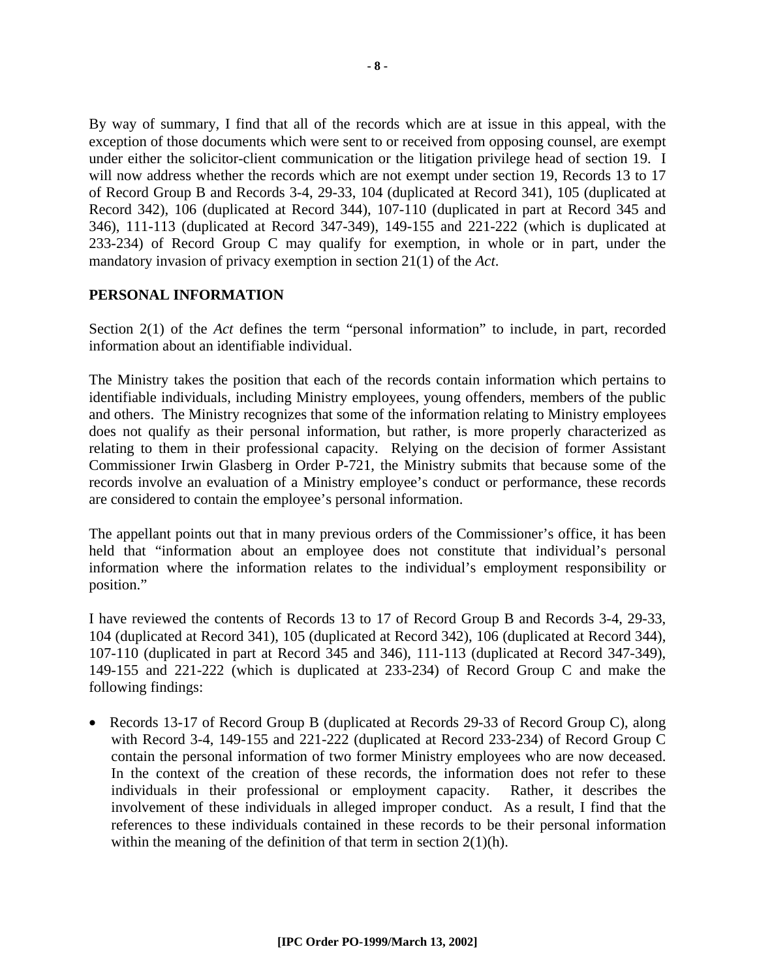By way of summary, I find that all of the records which are at issue in this appeal, with the exception of those documents which were sent to or received from opposing counsel, are exempt under either the solicitor-client communication or the litigation privilege head of section 19. I will now address whether the records which are not exempt under section 19, Records 13 to 17 of Record Group B and Records 3-4, 29-33, 104 (duplicated at Record 341), 105 (duplicated at Record 342), 106 (duplicated at Record 344), 107-110 (duplicated in part at Record 345 and 346), 111-113 (duplicated at Record 347-349), 149-155 and 221-222 (which is duplicated at 233-234) of Record Group C may qualify for exemption, in whole or in part, under the mandatory invasion of privacy exemption in section 21(1) of the *Act*.

#### **PERSONAL INFORMATION**

Section 2(1) of the *Act* defines the term "personal information" to include, in part, recorded information about an identifiable individual.

The Ministry takes the position that each of the records contain information which pertains to identifiable individuals, including Ministry employees, young offenders, members of the public and others. The Ministry recognizes that some of the information relating to Ministry employees does not qualify as their personal information, but rather, is more properly characterized as relating to them in their professional capacity. Relying on the decision of former Assistant Commissioner Irwin Glasberg in Order P-721, the Ministry submits that because some of the records involve an evaluation of a Ministry employee's conduct or performance, these records are considered to contain the employee's personal information.

The appellant points out that in many previous orders of the Commissioner's office, it has been held that "information about an employee does not constitute that individual's personal information where the information relates to the individual's employment responsibility or position."

I have reviewed the contents of Records 13 to 17 of Record Group B and Records 3-4, 29-33, 104 (duplicated at Record 341), 105 (duplicated at Record 342), 106 (duplicated at Record 344), 107-110 (duplicated in part at Record 345 and 346), 111-113 (duplicated at Record 347-349), 149-155 and 221-222 (which is duplicated at 233-234) of Record Group C and make the following findings:

• Records 13-17 of Record Group B (duplicated at Records 29-33 of Record Group C), along with Record 3-4, 149-155 and 221-222 (duplicated at Record 233-234) of Record Group C contain the personal information of two former Ministry employees who are now deceased. In the context of the creation of these records, the information does not refer to these individuals in their professional or employment capacity. Rather, it describes the involvement of these individuals in alleged improper conduct. As a result, I find that the references to these individuals contained in these records to be their personal information within the meaning of the definition of that term in section  $2(1)(h)$ .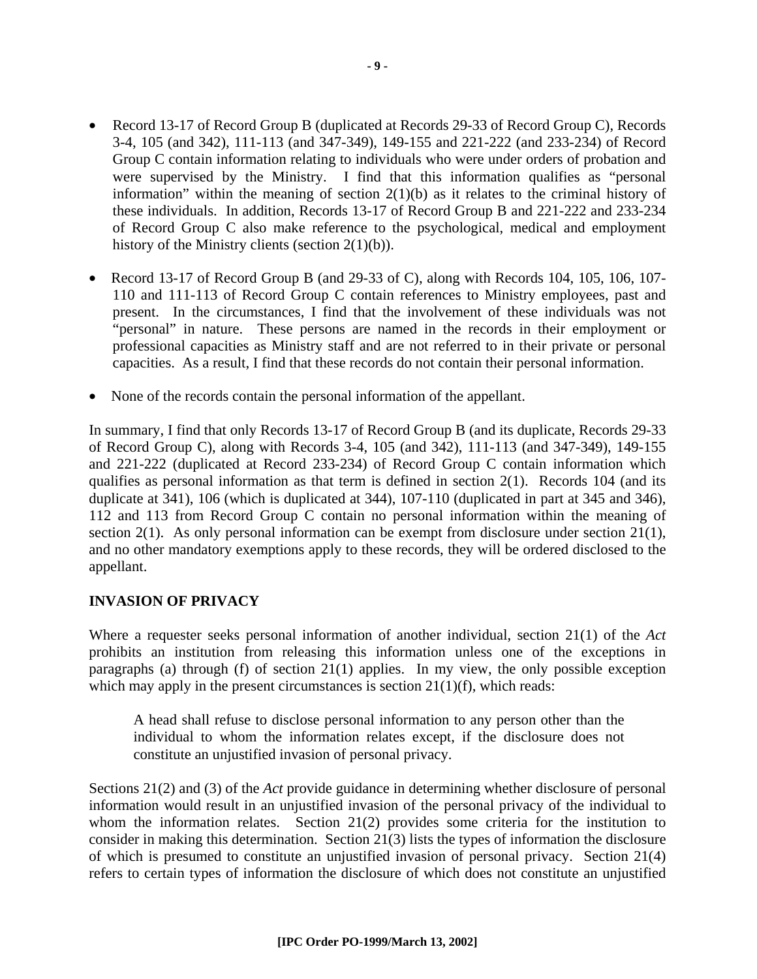- Record 13-17 of Record Group B (duplicated at Records 29-33 of Record Group C), Records 3-4, 105 (and 342), 111-113 (and 347-349), 149-155 and 221-222 (and 233-234) of Record Group C contain information relating to individuals who were under orders of probation and were supervised by the Ministry. I find that this information qualifies as "personal information" within the meaning of section  $2(1)(b)$  as it relates to the criminal history of these individuals. In addition, Records 13-17 of Record Group B and 221-222 and 233-234 of Record Group C also make reference to the psychological, medical and employment history of the Ministry clients (section 2(1)(b)).
- Record 13-17 of Record Group B (and 29-33 of C), along with Records 104, 105, 106, 107- 110 and 111-113 of Record Group C contain references to Ministry employees, past and present. In the circumstances, I find that the involvement of these individuals was not "personal" in nature. These persons are named in the records in their employment or professional capacities as Ministry staff and are not referred to in their private or personal capacities. As a result, I find that these records do not contain their personal information.
- None of the records contain the personal information of the appellant.

In summary, I find that only Records 13-17 of Record Group B (and its duplicate, Records 29-33 of Record Group C), along with Records 3-4, 105 (and 342), 111-113 (and 347-349), 149-155 and 221-222 (duplicated at Record 233-234) of Record Group C contain information which qualifies as personal information as that term is defined in section 2(1). Records 104 (and its duplicate at 341), 106 (which is duplicated at 344), 107-110 (duplicated in part at 345 and 346), 112 and 113 from Record Group C contain no personal information within the meaning of section 2(1). As only personal information can be exempt from disclosure under section 21(1), and no other mandatory exemptions apply to these records, they will be ordered disclosed to the appellant.

### **INVASION OF PRIVACY**

Where a requester seeks personal information of another individual, section 21(1) of the *Act* prohibits an institution from releasing this information unless one of the exceptions in paragraphs (a) through (f) of section 21(1) applies. In my view, the only possible exception which may apply in the present circumstances is section  $21(1)(f)$ , which reads:

A head shall refuse to disclose personal information to any person other than the individual to whom the information relates except, if the disclosure does not constitute an unjustified invasion of personal privacy.

Sections 21(2) and (3) of the *Act* provide guidance in determining whether disclosure of personal information would result in an unjustified invasion of the personal privacy of the individual to whom the information relates. Section 21(2) provides some criteria for the institution to consider in making this determination. Section 21(3) lists the types of information the disclosure of which is presumed to constitute an unjustified invasion of personal privacy. Section 21(4) refers to certain types of information the disclosure of which does not constitute an unjustified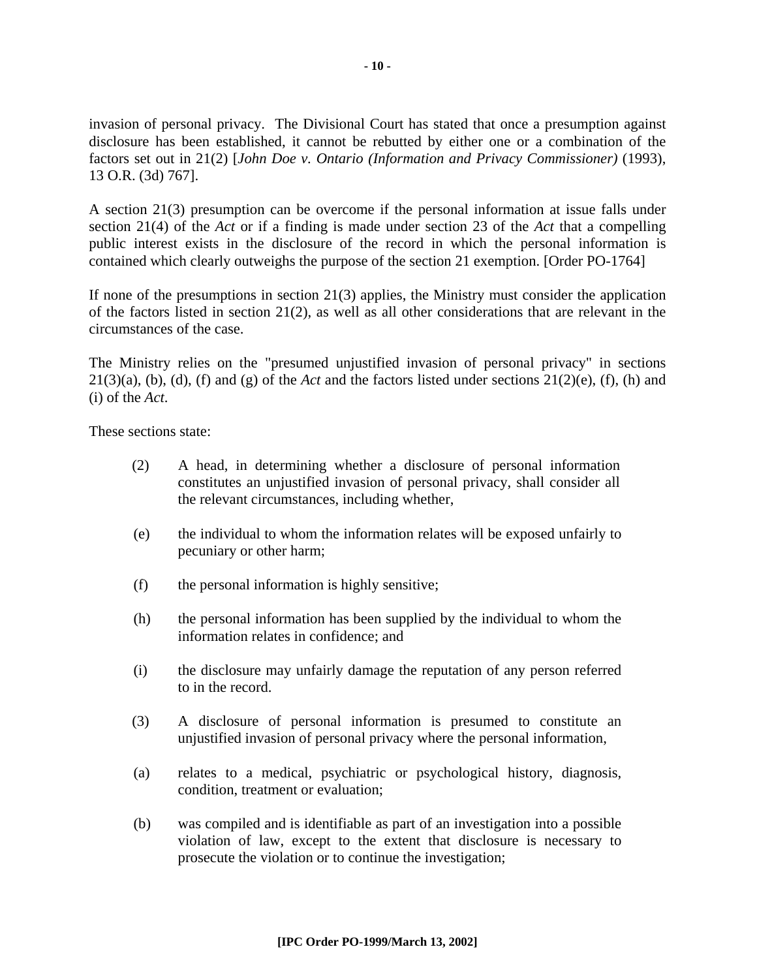invasion of personal privacy. The Divisional Court has stated that once a presumption against disclosure has been established, it cannot be rebutted by either one or a combination of the factors set out in 21(2) [*John Doe v. Ontario (Information and Privacy Commissioner)* (1993), 13 O.R. (3d) 767].

A section 21(3) presumption can be overcome if the personal information at issue falls under section 21(4) of the *Act* or if a finding is made under section 23 of the *Act* that a compelling public interest exists in the disclosure of the record in which the personal information is contained which clearly outweighs the purpose of the section 21 exemption. [Order PO-1764]

If none of the presumptions in section 21(3) applies, the Ministry must consider the application of the factors listed in section 21(2), as well as all other considerations that are relevant in the circumstances of the case.

The Ministry relies on the "presumed unjustified invasion of personal privacy" in sections 21(3)(a), (b), (d), (f) and (g) of the *Act* and the factors listed under sections 21(2)(e), (f), (h) and (i) of the *Act*.

These sections state:

- (2) A head, in determining whether a disclosure of personal information constitutes an unjustified invasion of personal privacy, shall consider all the relevant circumstances, including whether,
- (e) the individual to whom the information relates will be exposed unfairly to pecuniary or other harm;
- (f) the personal information is highly sensitive;
- (h) the personal information has been supplied by the individual to whom the information relates in confidence; and
- (i) the disclosure may unfairly damage the reputation of any person referred to in the record.
- (3) A disclosure of personal information is presumed to constitute an unjustified invasion of personal privacy where the personal information,
- (a) relates to a medical, psychiatric or psychological history, diagnosis, condition, treatment or evaluation;
- (b) was compiled and is identifiable as part of an investigation into a possible violation of law, except to the extent that disclosure is necessary to prosecute the violation or to continue the investigation;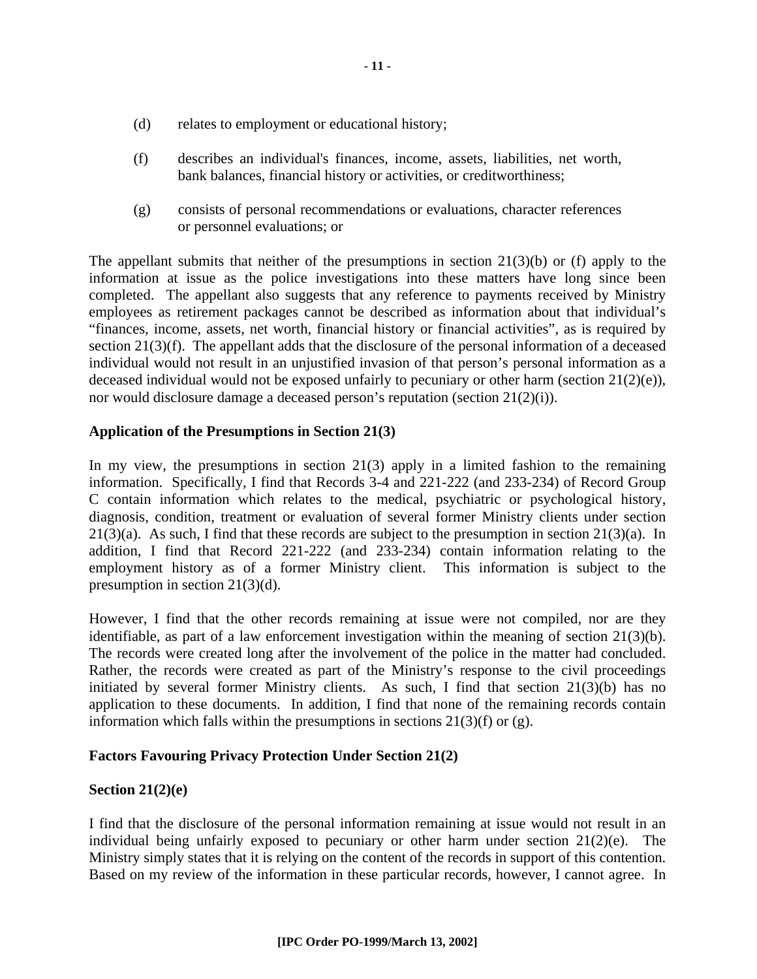- (d) relates to employment or educational history;
- (f) describes an individual's finances, income, assets, liabilities, net worth, bank balances, financial history or activities, or creditworthiness;
- (g) consists of personal recommendations or evaluations, character references or personnel evaluations; or

The appellant submits that neither of the presumptions in section  $21(3)(b)$  or (f) apply to the information at issue as the police investigations into these matters have long since been completed. The appellant also suggests that any reference to payments received by Ministry employees as retirement packages cannot be described as information about that individual's "finances, income, assets, net worth, financial history or financial activities", as is required by section 21(3)(f). The appellant adds that the disclosure of the personal information of a deceased individual would not result in an unjustified invasion of that person's personal information as a deceased individual would not be exposed unfairly to pecuniary or other harm (section  $21(2)(e)$ ), nor would disclosure damage a deceased person's reputation (section 21(2)(i)).

#### **Application of the Presumptions in Section 21(3)**

In my view, the presumptions in section  $21(3)$  apply in a limited fashion to the remaining information. Specifically, I find that Records 3-4 and 221-222 (and 233-234) of Record Group C contain information which relates to the medical, psychiatric or psychological history, diagnosis, condition, treatment or evaluation of several former Ministry clients under section 21(3)(a). As such, I find that these records are subject to the presumption in section 21(3)(a). In addition, I find that Record 221-222 (and 233-234) contain information relating to the employment history as of a former Ministry client. This information is subject to the presumption in section 21(3)(d).

However, I find that the other records remaining at issue were not compiled, nor are they identifiable, as part of a law enforcement investigation within the meaning of section 21(3)(b). The records were created long after the involvement of the police in the matter had concluded. Rather, the records were created as part of the Ministry's response to the civil proceedings initiated by several former Ministry clients. As such, I find that section 21(3)(b) has no application to these documents. In addition, I find that none of the remaining records contain information which falls within the presumptions in sections  $21(3)(f)$  or (g).

#### **Factors Favouring Privacy Protection Under Section 21(2)**

#### **Section 21(2)(e)**

I find that the disclosure of the personal information remaining at issue would not result in an individual being unfairly exposed to pecuniary or other harm under section 21(2)(e). The Ministry simply states that it is relying on the content of the records in support of this contention. Based on my review of the information in these particular records, however, I cannot agree. In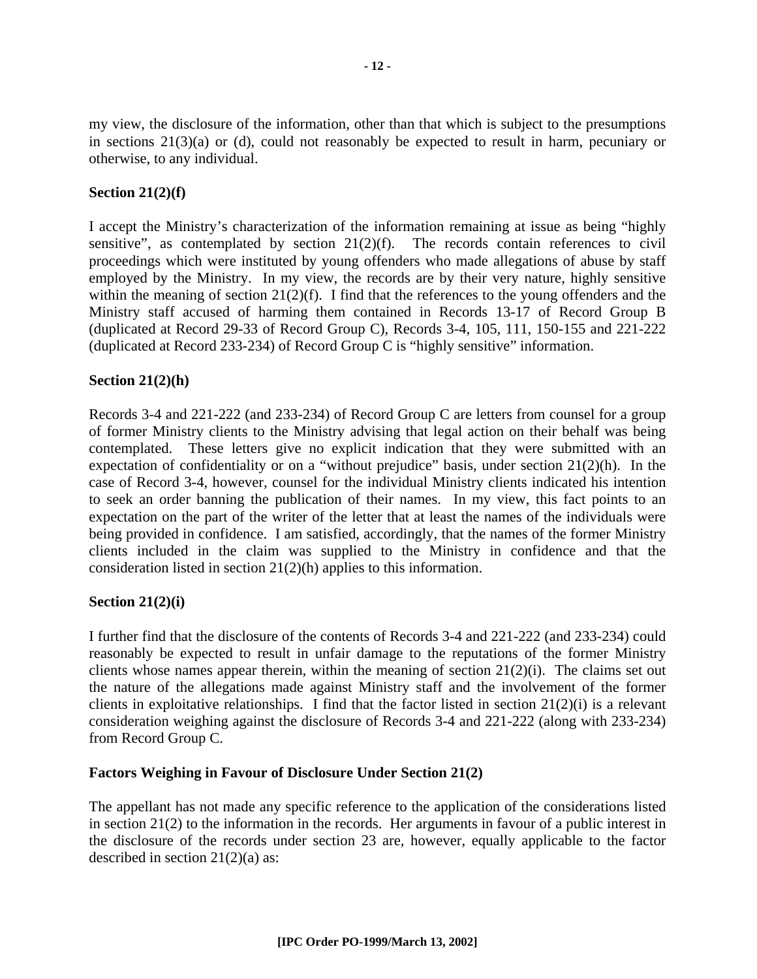my view, the disclosure of the information, other than that which is subject to the presumptions in sections 21(3)(a) or (d), could not reasonably be expected to result in harm, pecuniary or otherwise, to any individual.

#### **Section 21(2)(f)**

I accept the Ministry's characterization of the information remaining at issue as being "highly sensitive", as contemplated by section 21(2)(f). The records contain references to civil proceedings which were instituted by young offenders who made allegations of abuse by staff employed by the Ministry. In my view, the records are by their very nature, highly sensitive within the meaning of section  $21(2)(f)$ . I find that the references to the young offenders and the Ministry staff accused of harming them contained in Records 13-17 of Record Group B (duplicated at Record 29-33 of Record Group C), Records 3-4, 105, 111, 150-155 and 221-222 (duplicated at Record 233-234) of Record Group C is "highly sensitive" information.

#### **Section 21(2)(h)**

Records 3-4 and 221-222 (and 233-234) of Record Group C are letters from counsel for a group of former Ministry clients to the Ministry advising that legal action on their behalf was being contemplated. These letters give no explicit indication that they were submitted with an expectation of confidentiality or on a "without prejudice" basis, under section 21(2)(h). In the case of Record 3-4, however, counsel for the individual Ministry clients indicated his intention to seek an order banning the publication of their names. In my view, this fact points to an expectation on the part of the writer of the letter that at least the names of the individuals were being provided in confidence. I am satisfied, accordingly, that the names of the former Ministry clients included in the claim was supplied to the Ministry in confidence and that the consideration listed in section 21(2)(h) applies to this information.

#### **Section 21(2)(i)**

I further find that the disclosure of the contents of Records 3-4 and 221-222 (and 233-234) could reasonably be expected to result in unfair damage to the reputations of the former Ministry clients whose names appear therein, within the meaning of section 21(2)(i). The claims set out the nature of the allegations made against Ministry staff and the involvement of the former clients in exploitative relationships. I find that the factor listed in section 21(2)(i) is a relevant consideration weighing against the disclosure of Records 3-4 and 221-222 (along with 233-234) from Record Group C.

#### **Factors Weighing in Favour of Disclosure Under Section 21(2)**

The appellant has not made any specific reference to the application of the considerations listed in section 21(2) to the information in the records. Her arguments in favour of a public interest in the disclosure of the records under section 23 are, however, equally applicable to the factor described in section 21(2)(a) as: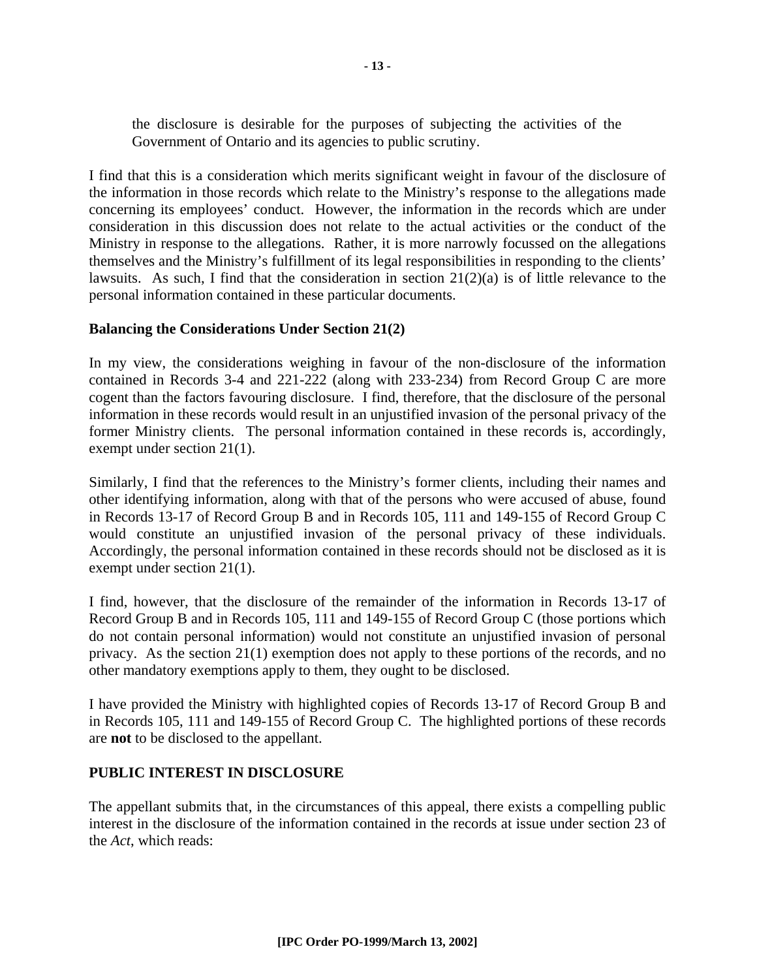the disclosure is desirable for the purposes of subjecting the activities of the Government of Ontario and its agencies to public scrutiny.

I find that this is a consideration which merits significant weight in favour of the disclosure of the information in those records which relate to the Ministry's response to the allegations made concerning its employees' conduct. However, the information in the records which are under consideration in this discussion does not relate to the actual activities or the conduct of the Ministry in response to the allegations. Rather, it is more narrowly focussed on the allegations themselves and the Ministry's fulfillment of its legal responsibilities in responding to the clients' lawsuits. As such, I find that the consideration in section 21(2)(a) is of little relevance to the personal information contained in these particular documents.

#### **Balancing the Considerations Under Section 21(2)**

In my view, the considerations weighing in favour of the non-disclosure of the information contained in Records 3-4 and 221-222 (along with 233-234) from Record Group C are more cogent than the factors favouring disclosure. I find, therefore, that the disclosure of the personal information in these records would result in an unjustified invasion of the personal privacy of the former Ministry clients. The personal information contained in these records is, accordingly, exempt under section 21(1).

Similarly, I find that the references to the Ministry's former clients, including their names and other identifying information, along with that of the persons who were accused of abuse, found in Records 13-17 of Record Group B and in Records 105, 111 and 149-155 of Record Group C would constitute an unjustified invasion of the personal privacy of these individuals. Accordingly, the personal information contained in these records should not be disclosed as it is exempt under section 21(1).

I find, however, that the disclosure of the remainder of the information in Records 13-17 of Record Group B and in Records 105, 111 and 149-155 of Record Group C (those portions which do not contain personal information) would not constitute an unjustified invasion of personal privacy. As the section 21(1) exemption does not apply to these portions of the records, and no other mandatory exemptions apply to them, they ought to be disclosed.

I have provided the Ministry with highlighted copies of Records 13-17 of Record Group B and in Records 105, 111 and 149-155 of Record Group C. The highlighted portions of these records are **not** to be disclosed to the appellant.

#### **PUBLIC INTEREST IN DISCLOSURE**

The appellant submits that, in the circumstances of this appeal, there exists a compelling public interest in the disclosure of the information contained in the records at issue under section 23 of the *Act*, which reads: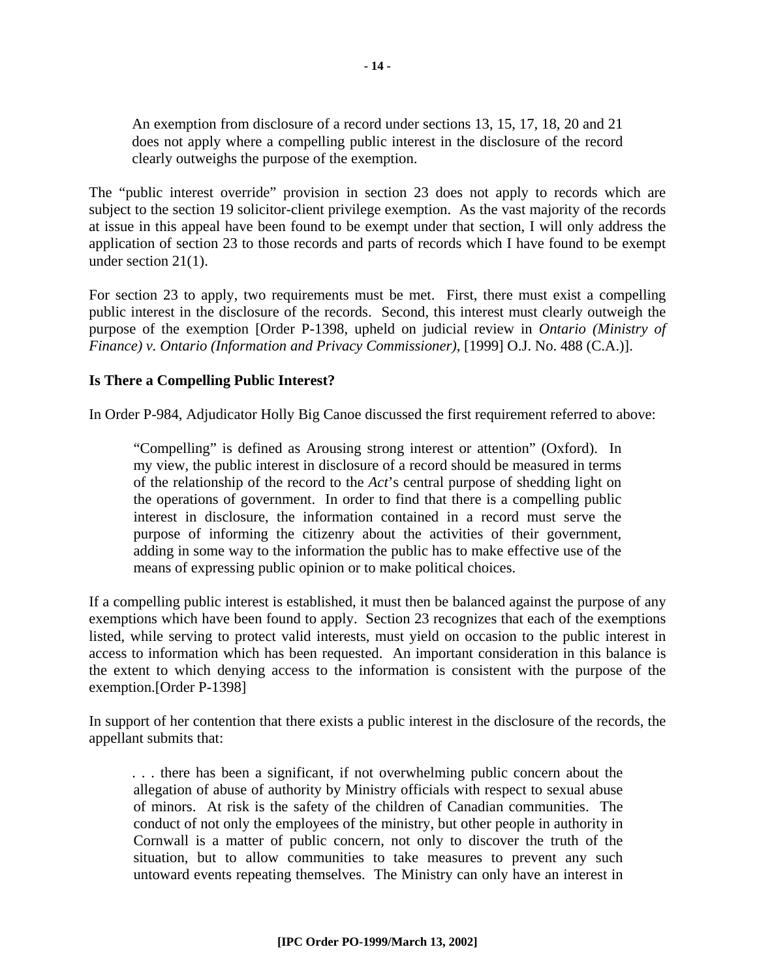An exemption from disclosure of a record under sections 13, 15, 17, 18, 20 and 21 does not apply where a compelling public interest in the disclosure of the record clearly outweighs the purpose of the exemption.

The "public interest override" provision in section 23 does not apply to records which are subject to the section 19 solicitor-client privilege exemption. As the vast majority of the records at issue in this appeal have been found to be exempt under that section, I will only address the application of section 23 to those records and parts of records which I have found to be exempt under section 21(1).

For section 23 to apply, two requirements must be met. First, there must exist a compelling public interest in the disclosure of the records. Second, this interest must clearly outweigh the purpose of the exemption [Order P-1398, upheld on judicial review in *Ontario (Ministry of Finance) v. Ontario (Information and Privacy Commissioner)*, [1999] O.J. No. 488 (C.A.)].

#### **Is There a Compelling Public Interest?**

In Order P-984, Adjudicator Holly Big Canoe discussed the first requirement referred to above:

"Compelling" is defined as Arousing strong interest or attention" (Oxford). In my view, the public interest in disclosure of a record should be measured in terms of the relationship of the record to the *Act*'s central purpose of shedding light on the operations of government. In order to find that there is a compelling public interest in disclosure, the information contained in a record must serve the purpose of informing the citizenry about the activities of their government, adding in some way to the information the public has to make effective use of the means of expressing public opinion or to make political choices.

If a compelling public interest is established, it must then be balanced against the purpose of any exemptions which have been found to apply. Section 23 recognizes that each of the exemptions listed, while serving to protect valid interests, must yield on occasion to the public interest in access to information which has been requested. An important consideration in this balance is the extent to which denying access to the information is consistent with the purpose of the exemption.[Order P-1398]

In support of her contention that there exists a public interest in the disclosure of the records, the appellant submits that:

. . . there has been a significant, if not overwhelming public concern about the allegation of abuse of authority by Ministry officials with respect to sexual abuse of minors. At risk is the safety of the children of Canadian communities. The conduct of not only the employees of the ministry, but other people in authority in Cornwall is a matter of public concern, not only to discover the truth of the situation, but to allow communities to take measures to prevent any such untoward events repeating themselves. The Ministry can only have an interest in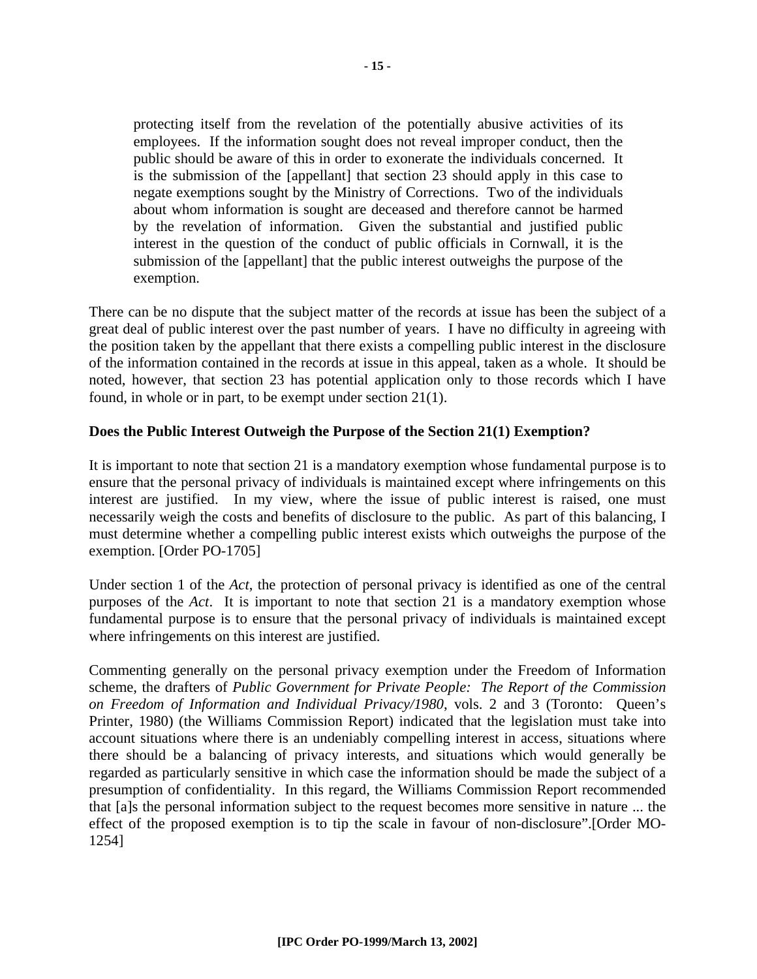protecting itself from the revelation of the potentially abusive activities of its employees. If the information sought does not reveal improper conduct, then the public should be aware of this in order to exonerate the individuals concerned. It is the submission of the [appellant] that section 23 should apply in this case to negate exemptions sought by the Ministry of Corrections. Two of the individuals about whom information is sought are deceased and therefore cannot be harmed by the revelation of information. Given the substantial and justified public interest in the question of the conduct of public officials in Cornwall, it is the submission of the [appellant] that the public interest outweighs the purpose of the exemption.

There can be no dispute that the subject matter of the records at issue has been the subject of a great deal of public interest over the past number of years. I have no difficulty in agreeing with the position taken by the appellant that there exists a compelling public interest in the disclosure of the information contained in the records at issue in this appeal, taken as a whole. It should be noted, however, that section 23 has potential application only to those records which I have found, in whole or in part, to be exempt under section 21(1).

#### **Does the Public Interest Outweigh the Purpose of the Section 21(1) Exemption?**

It is important to note that section 21 is a mandatory exemption whose fundamental purpose is to ensure that the personal privacy of individuals is maintained except where infringements on this interest are justified. In my view, where the issue of public interest is raised, one must necessarily weigh the costs and benefits of disclosure to the public. As part of this balancing, I must determine whether a compelling public interest exists which outweighs the purpose of the exemption. [Order PO-1705]

Under section 1 of the *Act*, the protection of personal privacy is identified as one of the central purposes of the *Act*. It is important to note that section 21 is a mandatory exemption whose fundamental purpose is to ensure that the personal privacy of individuals is maintained except where infringements on this interest are justified.

Commenting generally on the personal privacy exemption under the Freedom of Information scheme, the drafters of *Public Government for Private People: The Report of the Commission on Freedom of Information and Individual Privacy/1980*, vols. 2 and 3 (Toronto: Queen's Printer, 1980) (the Williams Commission Report) indicated that the legislation must take into account situations where there is an undeniably compelling interest in access, situations where there should be a balancing of privacy interests, and situations which would generally be regarded as particularly sensitive in which case the information should be made the subject of a presumption of confidentiality. In this regard, the Williams Commission Report recommended that [a]s the personal information subject to the request becomes more sensitive in nature ... the effect of the proposed exemption is to tip the scale in favour of non-disclosure".[Order MO-1254]